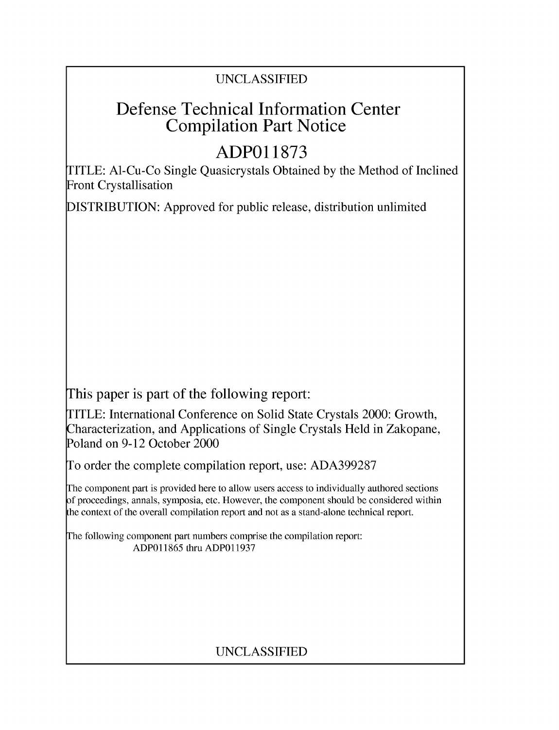## UNCLASSIFIED

## Defense Technical Information Center Compilation Part Notice

# **ADPO 11873**

TITLE: Al-Cu-Co Single Quasicrystals Obtained by the Method of Inclined Front Crystallisation

DISTRIBUTION: Approved for public release, distribution unlimited

This paper is part of the following report:

TITLE: International Conference on Solid State Crystals 2000: Growth, Characterization, and Applications of Single Crystals Held in Zakopane, Poland on 9-12 October 2000

To order the complete compilation report, use: ADA399287

The component part is provided here to allow users access to individually authored sections f proceedings, annals, symposia, etc. However, the component should be considered within [he context of the overall compilation report and not as a stand-alone technical report.

The following component part numbers comprise the compilation report: ADP011865 thru ADP011937

## UNCLASSIFIED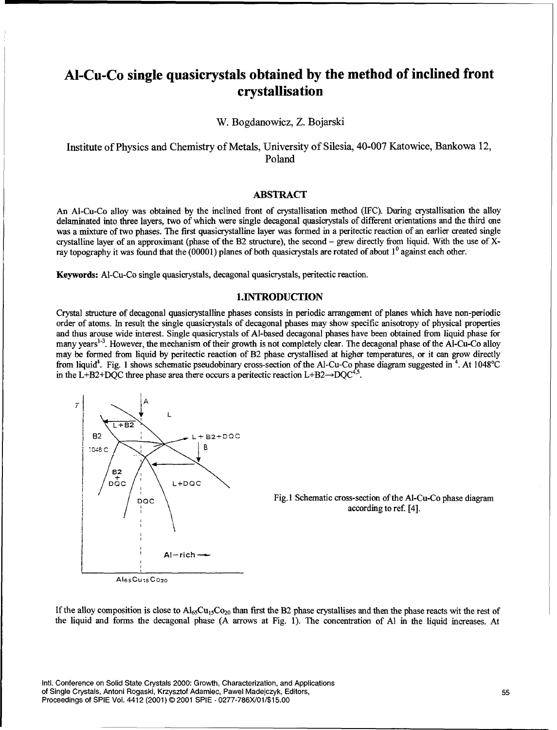### Al-Cu-Co single quasicrystals obtained **by** the method of inclined front crystallisation

W. Bogdanowicz, Z. Bojarski

Institute of Physics and Chemistry of Metals, University of Silesia, 40-007 Katowice, Bankowa 12, Poland

#### ABSTRACT

An Al-Cu-Co alloy was obtained by the inclined front of crystallisation method (IFC). During crystallisation the alloy delaminated into three layers, two of which were single decagonal quasicrystals of different orientations and the third one was a mixture of two phases. The first quasicrystalline layer was formed in a peritectic reaction of an earlier created single crystalline layer of an approximant (phase of the B2 structure), the second - grew directly from liquid. With the use of Xray topography it was found that the (00001) planes of both quasicrystals are rotated of about **10** against each other.

Keywords: Al-Cu-Co single quasicrystals, decagonal quasicrystals, peritectic reaction.

#### **1.INTRODUCTION**

Crystal structure of decagonal quasierystalline phases consists in periodic arrangement of planes which have non-periodic order of atoms. In result the single quasicrystals of decagonal phases may show specific anisotropy of physical properties and thus arouse wide interest. Single quasicrystals of Al-based decagonal phases have been obtained from liquid phase for many years<sup>1-3</sup>. However, the mechanism of their growth is not completely clear. The decagonal phase of the Al-Cu-Co alloy may be formed from liquid by peritectic reaction of B2 phase crystallised at higher temperatures, or it can grow directly from liquid<sup>4</sup>. Fig. 1 shows schematic pseudobinary cross-section of the Al-Cu-Co phase diagram suggested in  $4$ . At 1048<sup>o</sup>C in the L+B2+DQC three phase area there occurs a peritectic reaction L+B2 $\rightarrow$ DQC<sup>45</sup>.



If the alloy composition is close to  $Al<sub>65</sub>Cu<sub>15</sub>Co<sub>20</sub>$  than first the B2 phase crystallises and then the phase reacts wit the rest of the liquid and forms the decagonal phase (A arrows at Fig. 1). The concentration of **Al** in the liquid increases. At

Intl. Conference on Solid State Crystals 2000: Growth, Characterization, and Applications of Single Crystals, Antoni Rogaski, Krzysztof Adamiec, Pawel Madejczyk, Editors, 55 Proceedings of SPIE Vol. 4412 (2001) © 2001 SPIE • 0277-786X/01/\$15.00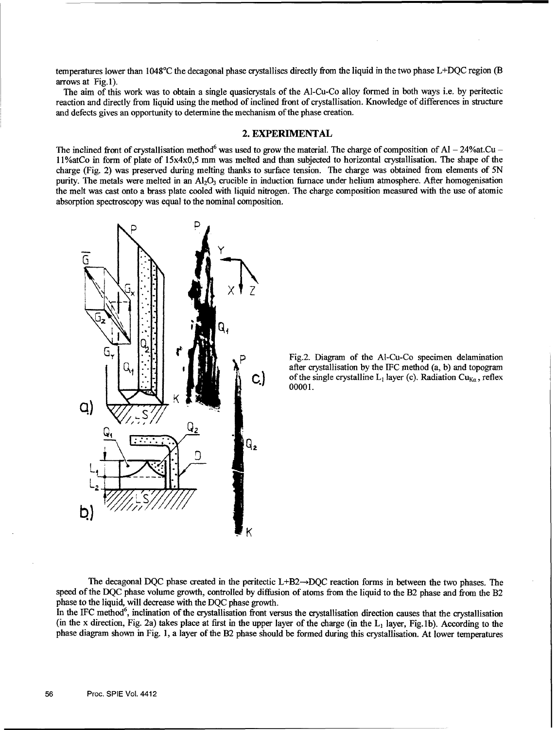temperatures lower than  $1048^{\circ}$ C the decagonal phase crystallises directly from the liquid in the two phase L+DQC region (B) arrows at Fig.l).

The aim of this work was to obtain a single quasicrystals of the Al-Cu-Co alloy formed in both ways i.e. by peritectic reaction and directly from liquid using the method of inclined front of crystallisation. Knowledge of differences in structure and defects gives an opportunity to determine the mechanism of the phase creation.

#### 2. EXPERIMENTAL

The inclined front of crystallisation method<sup>6</sup> was used to grow the material. The charge of composition of Al  $-$  24% at Cu  $-$ 11%atCo in form of plate of  $15x4x0,5$  mm was melted and than subjected to horizontal crystallisation. The shape of the charge (Fig. 2) was preserved during melting thanks to surface tension. The charge was obtained from elements of 5N purity. The metals were melted in an  $A_1O_3$  crucible in induction furnace under helium atmosphere. After homogenisation the melt was cast onto a brass plate cooled with liquid nitrogen. The charge composition measured with the use of atomic absorption spectroscopy was equal to the nominal composition.



after crystallisation by the IFC method (a, b) and topogram<br>of the single crystalline  $L_1$  layer (c). Radiation Cu<sub>Ka</sub>, reflex of the single crystalline  $L_1$  layer (c). Radiation Cu<sub>Ka</sub>, reflex 00001.

The decagonal DQC phase created in the peritectic  $L+B2\rightarrow DQC$  reaction forms in between the two phases. The speed of the DQC phase volume growth, controlled by diffusion of atoms from the liquid to the B2 phase and from the B2 phase to the liquid, will decrease with the DQC phase growth.

In the IFC method<sup>6</sup>, inclination of the crystallisation front versus the crystallisation direction causes that the crystallisation (in the x direction, Fig. 2a) takes place at first in the upper layer of the charge (in the  $L_1$  layer, Fig. 1b). According to the phase diagram shown in Fig. 1, a layer of the B2 phase should be formed during this crystallisation. At lower temperatures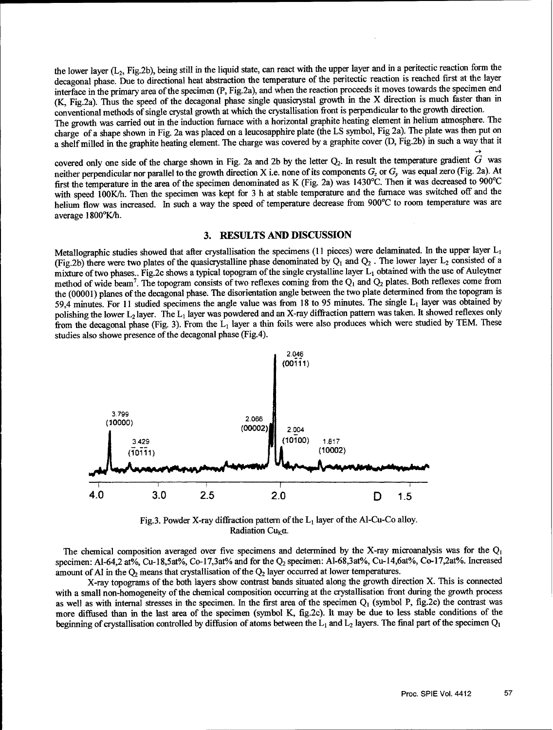the lower layer  $(L_2, Fig.2b)$ , being still in the liquid state, can react with the upper layer and in a peritectic reaction form the decagonal phase. Due to directional heat abstraction the temperature of the peritectic reaction is reached first at the layer interface in the primary area of the specimen (P, Fig.2a), and when the reaction proceeds it moves towards the specimen end (K, Fig.2a). Thus the speed of the decagonal phase single quasicrystal growth in the X direction is much faster than in conventional methods of single crystal growth at which the crystallisation front is perpendicular to the growth direction.

The growth was carried out in the induction furnace with a horizontal graphite heating element in helium atmosphere. The charge of a shape shown in Fig. 2a was placed on a leucosapphire plate (the LS symbol, Fig 2a). The plate was then put on a shelf milled in the graphite heating element. The charge was covered by a graphite cover (D, Fig.2b) in such a way that it

covered only one side of the charge shown in Fig. 2a and 2b by the letter  $Q_2$ . In result the temperature gradient  $\hat{G}$  was neither perpendicular nor parallel to the growth direction X i.e. none of its components **G,** or *Cy* was equal zero (Fig. 2a). At first the temperature in the area of the specimen denominated as K (Fig. 2a) was 1430'C. Then it was decreased to 900°C with speed 100K/h. Then the specimen was kept for 3 h at stable temperature and the furnace was switched off and the helium flow was increased. In such a way the speed of temperature decrease from 900°C to room temperature was are average 1800°K/h.

#### **3. RESULTS AND DISCUSSION**

Metallographic studies showed that after crystallisation the specimens (11 pieces) were delaminated. In the upper layer  $L_1$ (Fig.2b) there were two plates of the quasicrystalline phase denominated by  $Q_1$  and  $Q_2$ . The lower layer  $L_2$  consisted of a mixture of two phases.. Fig.2c shows a typical topogram of the single crystalline layer L, obtained with the use of Auleytner method of wide beam7 . The topogram consists of two reflexes coming from the **Q,** and **Q2** plates. Both reflexes come from the (00001) planes of the decagonal phase. The disorientation angle between the two plate determined from the topogram is 59.4 minutes. For 11 studied specimens the angle value was from 18 to 95 minutes. The single  $L_1$  layer was obtained by polishing the lower  $L_2$  layer. The  $L_1$  layer was powdered and an X-ray diffraction pattern was taken. It showed reflexes only from the decagonal phase (Fig. 3). From the  $L_1$  layer a thin foils were also produces which were studied by TEM. These studies also showe presence of the decagonal phase (Fig.4).



Fig.3. Powder X-ray diffraction pattern of the  $L_1$  layer of the Al-Cu-Co alloy. Radiation Cu<sub>K</sub> $\alpha$ .

The chemical composition averaged over five specimens and determined by the X-ray microanalysis was for the **Q,** specimen: AI-64,2 at%, Cu-18,5at%, Co-17,3at% and for the **Q2** specimen: Al-68,3at%, Cu-14,6at%, Co-17,2at%. Increased amount of Al in the O<sub>2</sub> means that crystallisation of the Q<sub>2</sub> layer occurred at lower temperatures.

X-ray topograms of the both layers show contrast bands situated along the growth direction X. This is connected with a small non-homogeneity of the chemical composition occurring at the crystallisation front during the growth process as well as with internal stresses in the specimen. In the first area of the specimen  $Q_1$  (symbol P, fig.2c) the contrast was more diffused than in the last area of the specimen (symbol K, fig.2c). It may be due to less stable conditions of the beginning of crystallisation controlled by diffusion of atoms between the  $L_1$  and  $L_2$  layers. The final part of the specimen  $Q_1$